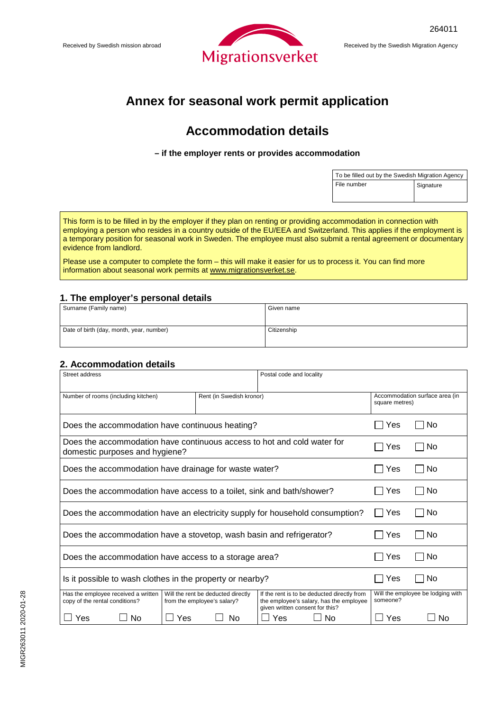

## **Annex for seasonal work permit application**

# **Accommodation details**

#### **– if the employer rents or provides accommodation**

| To be filled out by the Swedish Migration Agency |           |  |
|--------------------------------------------------|-----------|--|
| File number                                      | Signature |  |

This form is to be filled in by the employer if they plan on renting or providing accommodation in connection with employing a person who resides in a country outside of the EU/EEA and Switzerland. This applies if the employment is a temporary position for seasonal work in Sweden. The employee must also submit a rental agreement or documentary evidence from landlord.

Please use a computer to complete the form – this will make it easier for us to process it. You can find more information about seasonal work permits at [www.migrationsverket.se.](http://www.migrationsverket.se/)

#### **1. The employer's personal details**

| Surname (Family name)                    | Given name  |
|------------------------------------------|-------------|
| Date of birth (day, month, year, number) | Citizenship |
|                                          |             |

#### **2. Accommodation details**

| Street address                                                                                            |                                                                   | Postal code and locality                                                                                                  |          |                                                  |  |
|-----------------------------------------------------------------------------------------------------------|-------------------------------------------------------------------|---------------------------------------------------------------------------------------------------------------------------|----------|--------------------------------------------------|--|
| Number of rooms (including kitchen)                                                                       |                                                                   | Rent (in Swedish kronor)                                                                                                  |          | Accommodation surface area (in<br>square metres) |  |
| Does the accommodation have continuous heating?                                                           |                                                                   | Yes                                                                                                                       | No       |                                                  |  |
| Does the accommodation have continuous access to hot and cold water for<br>domestic purposes and hygiene? |                                                                   |                                                                                                                           | l Yes    | l INo                                            |  |
| Does the accommodation have drainage for waste water?                                                     |                                                                   |                                                                                                                           | Yes      | No                                               |  |
| Does the accommodation have access to a toilet, sink and bath/shower?                                     |                                                                   |                                                                                                                           | Yes      | No<br>$\blacksquare$                             |  |
| Does the accommodation have an electricity supply for household consumption?                              |                                                                   |                                                                                                                           | Yes      | No                                               |  |
| Does the accommodation have a stovetop, wash basin and refrigerator?                                      |                                                                   |                                                                                                                           | Yes      | No                                               |  |
| Does the accommodation have access to a storage area?                                                     |                                                                   |                                                                                                                           | Yes      | No                                               |  |
| Is it possible to wash clothes in the property or nearby?                                                 |                                                                   |                                                                                                                           | Yes      | No                                               |  |
| Has the employee received a written<br>copy of the rental conditions?                                     | Will the rent be deducted directly<br>from the employee's salary? | If the rent is to be deducted directly from<br>the employee's salary, has the employee<br>given written consent for this? | someone? | Will the employee be lodging with                |  |
| Yes<br>No                                                                                                 | Yes<br>No                                                         | Yes<br>No.                                                                                                                | Yes      | No                                               |  |